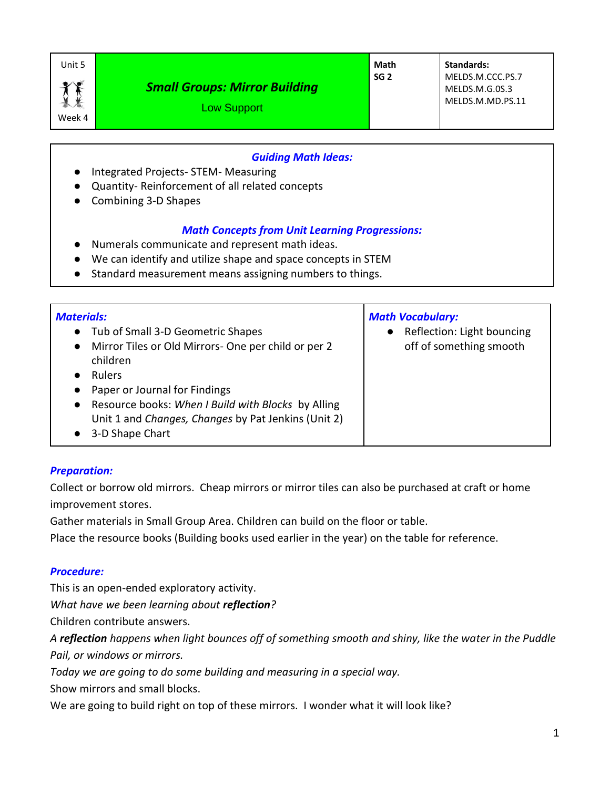Week 4

## *Small Groups: Mirror Building*

**Math SG 2**

**Standards:** MELDS.M.CCC.PS.7 MELDS.M.G.0S.3 MELDS.M.MD.PS.11

Low Support

#### *Guiding Math Ideas:*

- Integrated Projects- STEM- Measuring
- Quantity- Reinforcement of all related concepts
- Combining 3-D Shapes

### *Math Concepts from Unit Learning Progressions:*

- Numerals communicate and represent math ideas.
- We can identify and utilize shape and space concepts in STEM
- Standard measurement means assigning numbers to things.

### *Preparation:*

Collect or borrow old mirrors. Cheap mirrors or mirror tiles can also be purchased at craft or home improvement stores.

Gather materials in Small Group Area. Children can build on the floor or table.

Place the resource books (Building books used earlier in the year) on the table for reference.

### *Procedure:*

This is an open-ended exploratory activity.

*What have we been learning about reflection?*

Children contribute answers.

*A reflection happens when light bounces off of something smooth and shiny, like the water in the Puddle Pail, or windows or mirrors.*

*Today we are going to do some building and measuring in a special way.*

Show mirrors and small blocks.

We are going to build right on top of these mirrors. I wonder what it will look like?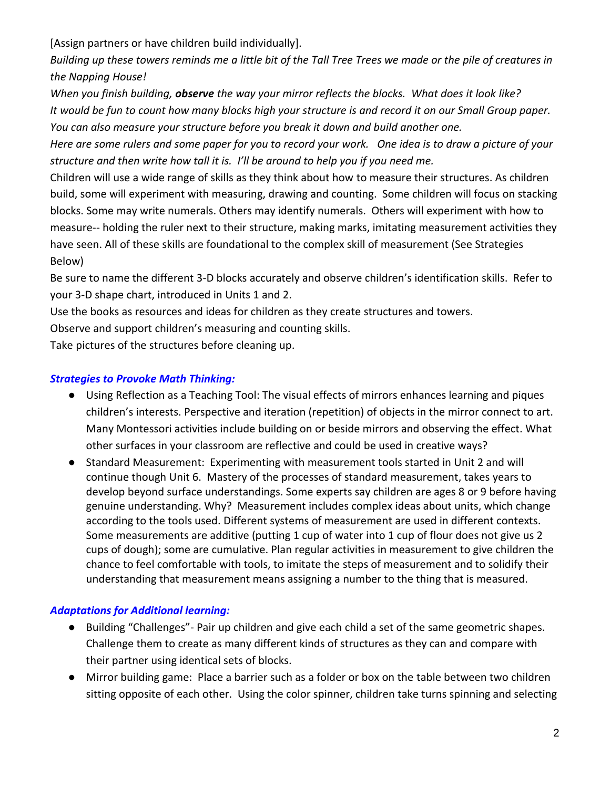[Assign partners or have children build individually].

*Building up these towers reminds me a little bit of the Tall Tree Trees we made or the pile of creatures in the Napping House!*

*When you finish building, observe the way your mirror reflects the blocks. What does it look like? It would be fun to count how many blocks high your structure is and record it on our Small Group paper. You can also measure your structure before you break it down and build another one.*

*Here are some rulers and some paper for you to record your work. One idea is to draw a picture of your structure and then write how tall it is. I'll be around to help you if you need me.* 

Children will use a wide range of skills as they think about how to measure their structures. As children build, some will experiment with measuring, drawing and counting. Some children will focus on stacking blocks. Some may write numerals. Others may identify numerals. Others will experiment with how to measure-- holding the ruler next to their structure, making marks, imitating measurement activities they have seen. All of these skills are foundational to the complex skill of measurement (See Strategies Below)

Be sure to name the different 3-D blocks accurately and observe children's identification skills. Refer to your 3-D shape chart, introduced in Units 1 and 2.

Use the books as resources and ideas for children as they create structures and towers.

Observe and support children's measuring and counting skills.

Take pictures of the structures before cleaning up.

## *Strategies to Provoke Math Thinking:*

- Using Reflection as a Teaching Tool: The visual effects of mirrors enhances learning and piques children's interests. Perspective and iteration (repetition) of objects in the mirror connect to art. Many Montessori activities include building on or beside mirrors and observing the effect. What other surfaces in your classroom are reflective and could be used in creative ways?
- Standard Measurement: Experimenting with measurement tools started in Unit 2 and will continue though Unit 6. Mastery of the processes of standard measurement, takes years to develop beyond surface understandings. Some experts say children are ages 8 or 9 before having genuine understanding. Why? Measurement includes complex ideas about units, which change according to the tools used. Different systems of measurement are used in different contexts. Some measurements are additive (putting 1 cup of water into 1 cup of flour does not give us 2 cups of dough); some are cumulative. Plan regular activities in measurement to give children the chance to feel comfortable with tools, to imitate the steps of measurement and to solidify their understanding that measurement means assigning a number to the thing that is measured.

# *Adaptations for Additional learning:*

- Building "Challenges" Pair up children and give each child a set of the same geometric shapes. Challenge them to create as many different kinds of structures as they can and compare with their partner using identical sets of blocks.
- Mirror building game: Place a barrier such as a folder or box on the table between two children sitting opposite of each other. Using the color spinner, children take turns spinning and selecting